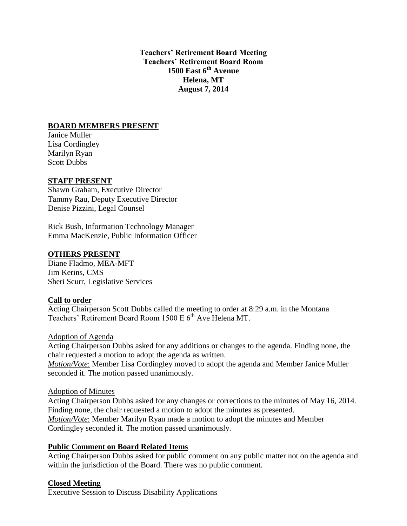**Teachers' Retirement Board Meeting Teachers' Retirement Board Room 1500 East 6th Avenue Helena, MT August 7, 2014**

# **BOARD MEMBERS PRESENT**

Janice Muller Lisa Cordingley Marilyn Ryan Scott Dubbs

### **STAFF PRESENT**

Shawn Graham, Executive Director Tammy Rau, Deputy Executive Director Denise Pizzini, Legal Counsel

Rick Bush, Information Technology Manager Emma MacKenzie, Public Information Officer

### **OTHERS PRESENT**

Diane Fladmo, MEA-MFT Jim Kerins, CMS Sheri Scurr, Legislative Services

### **Call to order**

Acting Chairperson Scott Dubbs called the meeting to order at 8:29 a.m. in the Montana Teachers' Retirement Board Room 1500 E 6<sup>th</sup> Ave Helena MT.

Adoption of Agenda

Acting Chairperson Dubbs asked for any additions or changes to the agenda. Finding none, the chair requested a motion to adopt the agenda as written.

*Motion/Vote*: Member Lisa Cordingley moved to adopt the agenda and Member Janice Muller seconded it. The motion passed unanimously.

Adoption of Minutes

Acting Chairperson Dubbs asked for any changes or corrections to the minutes of May 16, 2014. Finding none, the chair requested a motion to adopt the minutes as presented. *Motion/Vote*: Member Marilyn Ryan made a motion to adopt the minutes and Member Cordingley seconded it. The motion passed unanimously.

### **Public Comment on Board Related Items**

Acting Chairperson Dubbs asked for public comment on any public matter not on the agenda and within the jurisdiction of the Board. There was no public comment.

### **Closed Meeting**

Executive Session to Discuss Disability Applications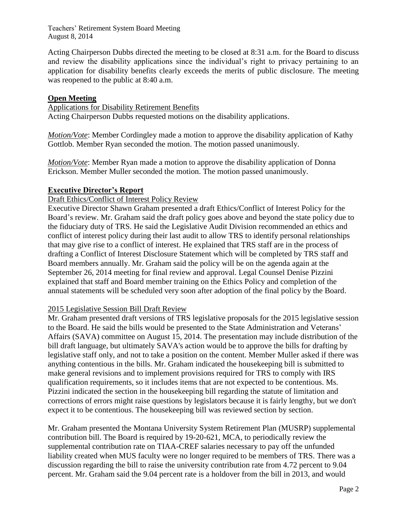Acting Chairperson Dubbs directed the meeting to be closed at 8:31 a.m. for the Board to discuss and review the disability applications since the individual's right to privacy pertaining to an application for disability benefits clearly exceeds the merits of public disclosure. The meeting was reopened to the public at 8:40 a.m.

# **Open Meeting**

Applications for Disability Retirement Benefits

Acting Chairperson Dubbs requested motions on the disability applications.

*Motion/Vote*: Member Cordingley made a motion to approve the disability application of Kathy Gottlob. Member Ryan seconded the motion. The motion passed unanimously.

*Motion/Vote*: Member Ryan made a motion to approve the disability application of Donna Erickson. Member Muller seconded the motion. The motion passed unanimously.

# **Executive Director's Report**

### Draft Ethics/Conflict of Interest Policy Review

Executive Director Shawn Graham presented a draft Ethics/Conflict of Interest Policy for the Board's review. Mr. Graham said the draft policy goes above and beyond the state policy due to the fiduciary duty of TRS. He said the Legislative Audit Division recommended an ethics and conflict of interest policy during their last audit to allow TRS to identify personal relationships that may give rise to a conflict of interest. He explained that TRS staff are in the process of drafting a Conflict of Interest Disclosure Statement which will be completed by TRS staff and Board members annually. Mr. Graham said the policy will be on the agenda again at the September 26, 2014 meeting for final review and approval. Legal Counsel Denise Pizzini explained that staff and Board member training on the Ethics Policy and completion of the annual statements will be scheduled very soon after adoption of the final policy by the Board.

# 2015 Legislative Session Bill Draft Review

Mr. Graham presented draft versions of TRS legislative proposals for the 2015 legislative session to the Board. He said the bills would be presented to the State Administration and Veterans' Affairs (SAVA) committee on August 15, 2014. The presentation may include distribution of the bill draft language, but ultimately SAVA's action would be to approve the bills for drafting by legislative staff only, and not to take a position on the content. Member Muller asked if there was anything contentious in the bills. Mr. Graham indicated the housekeeping bill is submitted to make general revisions and to implement provisions required for TRS to comply with IRS qualification requirements, so it includes items that are not expected to be contentious. Ms. Pizzini indicated the section in the housekeeping bill regarding the statute of limitation and corrections of errors might raise questions by legislators because it is fairly lengthy, but we don't expect it to be contentious. The housekeeping bill was reviewed section by section.

Mr. Graham presented the Montana University System Retirement Plan (MUSRP) supplemental contribution bill. The Board is required by 19-20-621, MCA, to periodically review the supplemental contribution rate on TIAA-CREF salaries necessary to pay off the unfunded liability created when MUS faculty were no longer required to be members of TRS. There was a discussion regarding the bill to raise the university contribution rate from 4.72 percent to 9.04 percent. Mr. Graham said the 9.04 percent rate is a holdover from the bill in 2013, and would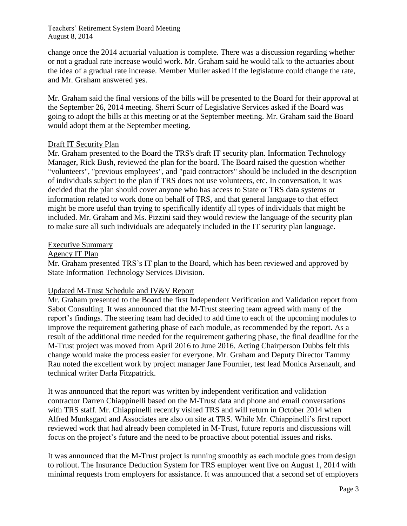change once the 2014 actuarial valuation is complete. There was a discussion regarding whether or not a gradual rate increase would work. Mr. Graham said he would talk to the actuaries about the idea of a gradual rate increase. Member Muller asked if the legislature could change the rate, and Mr. Graham answered yes.

Mr. Graham said the final versions of the bills will be presented to the Board for their approval at the September 26, 2014 meeting. Sherri Scurr of Legislative Services asked if the Board was going to adopt the bills at this meeting or at the September meeting. Mr. Graham said the Board would adopt them at the September meeting.

# Draft IT Security Plan

Mr. Graham presented to the Board the TRS's draft IT security plan. Information Technology Manager, Rick Bush, reviewed the plan for the board. The Board raised the question whether "volunteers", "previous employees", and "paid contractors" should be included in the description of individuals subject to the plan if TRS does not use volunteers, etc. In conversation, it was decided that the plan should cover anyone who has access to State or TRS data systems or information related to work done on behalf of TRS, and that general language to that effect might be more useful than trying to specifically identify all types of individuals that might be included. Mr. Graham and Ms. Pizzini said they would review the language of the security plan to make sure all such individuals are adequately included in the IT security plan language.

### Executive Summary

### Agency IT Plan

Mr. Graham presented TRS's IT plan to the Board, which has been reviewed and approved by State Information Technology Services Division.

### Updated M-Trust Schedule and IV&V Report

Mr. Graham presented to the Board the first Independent Verification and Validation report from Sabot Consulting. It was announced that the M-Trust steering team agreed with many of the report's findings. The steering team had decided to add time to each of the upcoming modules to improve the requirement gathering phase of each module, as recommended by the report. As a result of the additional time needed for the requirement gathering phase, the final deadline for the M-Trust project was moved from April 2016 to June 2016. Acting Chairperson Dubbs felt this change would make the process easier for everyone. Mr. Graham and Deputy Director Tammy Rau noted the excellent work by project manager Jane Fournier, test lead Monica Arsenault, and technical writer Darla Fitzpatrick.

It was announced that the report was written by independent verification and validation contractor Darren Chiappinelli based on the M-Trust data and phone and email conversations with TRS staff. Mr. Chiappinelli recently visited TRS and will return in October 2014 when Alfred Munksgard and Associates are also on site at TRS. While Mr. Chiappinelli's first report reviewed work that had already been completed in M-Trust, future reports and discussions will focus on the project's future and the need to be proactive about potential issues and risks.

It was announced that the M-Trust project is running smoothly as each module goes from design to rollout. The Insurance Deduction System for TRS employer went live on August 1, 2014 with minimal requests from employers for assistance. It was announced that a second set of employers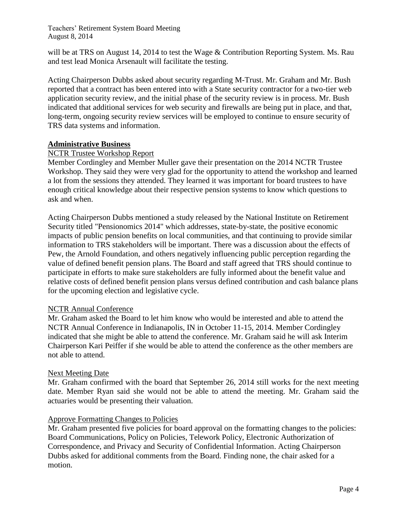will be at TRS on August 14, 2014 to test the Wage & Contribution Reporting System. Ms. Rau and test lead Monica Arsenault will facilitate the testing.

Acting Chairperson Dubbs asked about security regarding M-Trust. Mr. Graham and Mr. Bush reported that a contract has been entered into with a State security contractor for a two-tier web application security review, and the initial phase of the security review is in process. Mr. Bush indicated that additional services for web security and firewalls are being put in place, and that, long-term, ongoing security review services will be employed to continue to ensure security of TRS data systems and information.

### **Administrative Business**

### NCTR Trustee Workshop Report

Member Cordingley and Member Muller gave their presentation on the 2014 NCTR Trustee Workshop. They said they were very glad for the opportunity to attend the workshop and learned a lot from the sessions they attended. They learned it was important for board trustees to have enough critical knowledge about their respective pension systems to know which questions to ask and when.

Acting Chairperson Dubbs mentioned a study released by the National Institute on Retirement Security titled "Pensionomics 2014" which addresses, state-by-state, the positive economic impacts of public pension benefits on local communities, and that continuing to provide similar information to TRS stakeholders will be important. There was a discussion about the effects of Pew, the Arnold Foundation, and others negatively influencing public perception regarding the value of defined benefit pension plans. The Board and staff agreed that TRS should continue to participate in efforts to make sure stakeholders are fully informed about the benefit value and relative costs of defined benefit pension plans versus defined contribution and cash balance plans for the upcoming election and legislative cycle.

#### NCTR Annual Conference

Mr. Graham asked the Board to let him know who would be interested and able to attend the NCTR Annual Conference in Indianapolis, IN in October 11-15, 2014. Member Cordingley indicated that she might be able to attend the conference. Mr. Graham said he will ask Interim Chairperson Kari Peiffer if she would be able to attend the conference as the other members are not able to attend.

#### Next Meeting Date

Mr. Graham confirmed with the board that September 26, 2014 still works for the next meeting date. Member Ryan said she would not be able to attend the meeting. Mr. Graham said the actuaries would be presenting their valuation.

#### Approve Formatting Changes to Policies

Mr. Graham presented five policies for board approval on the formatting changes to the policies: Board Communications, Policy on Policies, Telework Policy, Electronic Authorization of Correspondence, and Privacy and Security of Confidential Information. Acting Chairperson Dubbs asked for additional comments from the Board. Finding none, the chair asked for a motion.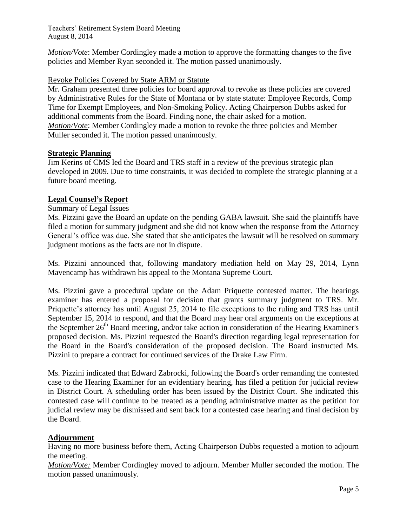*Motion/Vote*: Member Cordingley made a motion to approve the formatting changes to the five policies and Member Ryan seconded it. The motion passed unanimously.

# Revoke Policies Covered by State ARM or Statute

Mr. Graham presented three policies for board approval to revoke as these policies are covered by Administrative Rules for the State of Montana or by state statute: Employee Records, Comp Time for Exempt Employees, and Non-Smoking Policy. Acting Chairperson Dubbs asked for additional comments from the Board. Finding none, the chair asked for a motion. *Motion/Vote*: Member Cordingley made a motion to revoke the three policies and Member Muller seconded it. The motion passed unanimously.

### **Strategic Planning**

Jim Kerins of CMS led the Board and TRS staff in a review of the previous strategic plan developed in 2009. Due to time constraints, it was decided to complete the strategic planning at a future board meeting.

# **Legal Counsel's Report**

### Summary of Legal Issues

Ms. Pizzini gave the Board an update on the pending GABA lawsuit. She said the plaintiffs have filed a motion for summary judgment and she did not know when the response from the Attorney General's office was due. She stated that she anticipates the lawsuit will be resolved on summary judgment motions as the facts are not in dispute.

Ms. Pizzini announced that, following mandatory mediation held on May 29, 2014, Lynn Mavencamp has withdrawn his appeal to the Montana Supreme Court.

Ms. Pizzini gave a procedural update on the Adam Priquette contested matter. The hearings examiner has entered a proposal for decision that grants summary judgment to TRS. Mr. Priquette's attorney has until August 25, 2014 to file exceptions to the ruling and TRS has until September 15, 2014 to respond, and that the Board may hear oral arguments on the exceptions at the September  $26<sup>th</sup>$  Board meeting, and/or take action in consideration of the Hearing Examiner's proposed decision. Ms. Pizzini requested the Board's direction regarding legal representation for the Board in the Board's consideration of the proposed decision. The Board instructed Ms. Pizzini to prepare a contract for continued services of the Drake Law Firm.

Ms. Pizzini indicated that Edward Zabrocki, following the Board's order remanding the contested case to the Hearing Examiner for an evidentiary hearing, has filed a petition for judicial review in District Court. A scheduling order has been issued by the District Court. She indicated this contested case will continue to be treated as a pending administrative matter as the petition for judicial review may be dismissed and sent back for a contested case hearing and final decision by the Board.

### **Adjournment**

Having no more business before them, Acting Chairperson Dubbs requested a motion to adjourn the meeting.

*Motion/Vote:* Member Cordingley moved to adjourn. Member Muller seconded the motion. The motion passed unanimously.